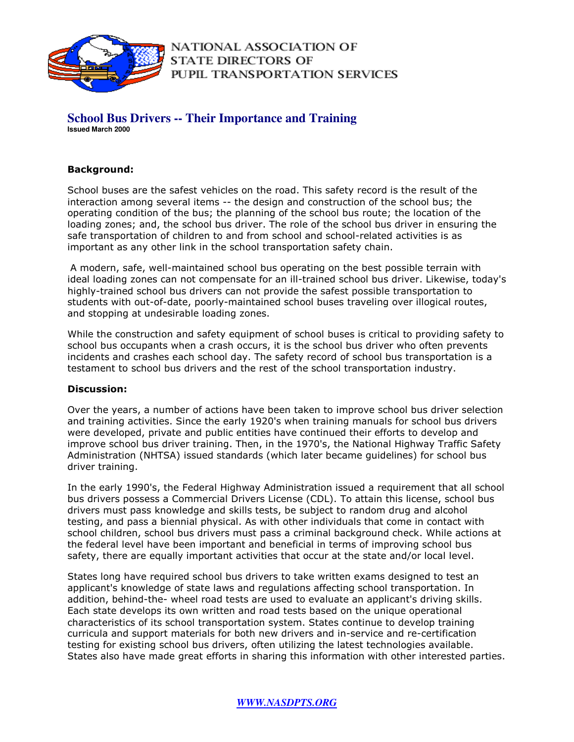

NATIONAL ASSOCIATION OF **STATE DIRECTORS OF** PUPIL TRANSPORTATION SERVICES

**School Bus Drivers -- Their Importance and Training Issued March 2000**

## Background:

School buses are the safest vehicles on the road. This safety record is the result of the interaction among several items -- the design and construction of the school bus; the operating condition of the bus; the planning of the school bus route; the location of the loading zones; and, the school bus driver. The role of the school bus driver in ensuring the safe transportation of children to and from school and school-related activities is as important as any other link in the school transportation safety chain.

A modern, safe, well-maintained school bus operating on the best possible terrain with ideal loading zones can not compensate for an ill-trained school bus driver. Likewise, today's highly-trained school bus drivers can not provide the safest possible transportation to students with out-of-date, poorly-maintained school buses traveling over illogical routes, and stopping at undesirable loading zones.

While the construction and safety equipment of school buses is critical to providing safety to school bus occupants when a crash occurs, it is the school bus driver who often prevents incidents and crashes each school day. The safety record of school bus transportation is a testament to school bus drivers and the rest of the school transportation industry.

## Discussion:

Over the years, a number of actions have been taken to improve school bus driver selection and training activities. Since the early 1920's when training manuals for school bus drivers were developed, private and public entities have continued their efforts to develop and improve school bus driver training. Then, in the 1970's, the National Highway Traffic Safety Administration (NHTSA) issued standards (which later became guidelines) for school bus driver training.

In the early 1990's, the Federal Highway Administration issued a requirement that all school bus drivers possess a Commercial Drivers License (CDL). To attain this license, school bus drivers must pass knowledge and skills tests, be subject to random drug and alcohol testing, and pass a biennial physical. As with other individuals that come in contact with school children, school bus drivers must pass a criminal background check. While actions at the federal level have been important and beneficial in terms of improving school bus safety, there are equally important activities that occur at the state and/or local level.

States long have required school bus drivers to take written exams designed to test an applicant's knowledge of state laws and regulations affecting school transportation. In addition, behind-the- wheel road tests are used to evaluate an applicant's driving skills. Each state develops its own written and road tests based on the unique operational characteristics of its school transportation system. States continue to develop training curricula and support materials for both new drivers and in-service and re-certification testing for existing school bus drivers, often utilizing the latest technologies available. States also have made great efforts in sharing this information with other interested parties.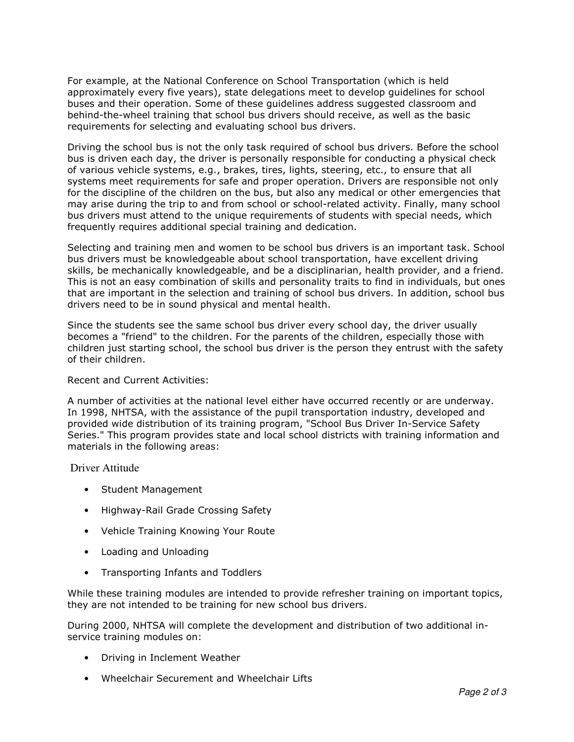For example, at the National Conference on School Transportation (which is held approximately every five years), state delegations meet to develop guidelines for school buses and their operation. Some of these guidelines address suggested classroom and behind-the-wheel training that school bus drivers should receive, as well as the basic requirements for selecting and evaluating school bus drivers.

Driving the school bus is not the only task required of school bus drivers. Before the school bus is driven each day, the driver is personally responsible for conducting a physical check of various vehicle systems, e.g., brakes, tires, lights, steering, etc., to ensure that all systems meet requirements for safe and proper operation. Drivers are responsible not only for the discipline of the children on the bus, but also any medical or other emergencies that may arise during the trip to and from school or school-related activity. Finally, many school bus drivers must attend to the unique requirements of students with special needs, which frequently requires additional special training and dedication.

Selecting and training men and women to be school bus drivers is an important task. School bus drivers must be knowledgeable about school transportation, have excellent driving skills, be mechanically knowledgeable, and be a disciplinarian, health provider, and a friend. This is not an easy combination of skills and personality traits to find in individuals, but ones that are important in the selection and training of school bus drivers. In addition, school bus drivers need to be in sound physical and mental health.

Since the students see the same school bus driver every school day, the driver usually becomes a "friend" to the children. For the parents of the children, especially those with children just starting school, the school bus driver is the person they entrust with the safety of their children.

## Recent and Current Activities:

A number of activities at the national level either have occurred recently or are underway. In 1998, NHTSA, with the assistance of the pupil transportation industry, developed and provided wide distribution of its training program, "School Bus Driver In-Service Safety Series." This program provides state and local school districts with training information and materials in the following areas:

Driver Attitude

- Student Management
- Highway-Rail Grade Crossing Safety
- Vehicle Training Knowing Your Route
- Loading and Unloading
- Transporting Infants and Toddlers

While these training modules are intended to provide refresher training on important topics, they are not intended to be training for new school bus drivers.

During 2000, NHTSA will complete the development and distribution of two additional inservice training modules on:

- Driving in Inclement Weather
- Wheelchair Securement and Wheelchair Lifts